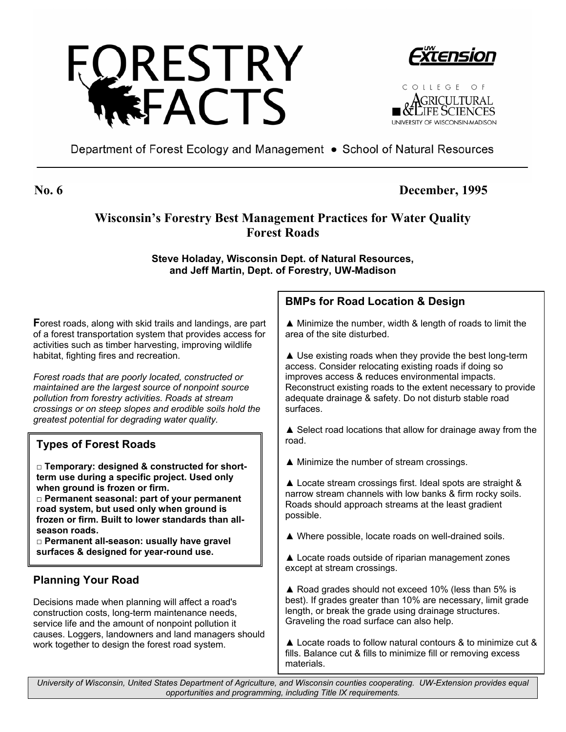





Department of Forest Ecology and Management • School of Natural Resources

# **No. 6 December, 1995**

# **Wisconsin's Forestry Best Management Practices for Water Quality Forest Roads**

**Steve Holaday, Wisconsin Dept. of Natural Resources, and Jeff Martin, Dept. of Forestry, UW-Madison**

**F**orest roads, along with skid trails and landings, are part of a forest transportation system that provides access for activities such as timber harvesting, improving wildlife habitat, fighting fires and recreation.

*Forest roads that are poorly located, constructed or maintained are the largest source of nonpoint source pollution from forestry activities. Roads at stream crossings or on steep slopes and erodible soils hold the greatest potential for degrading water quality.* 

# **Types of Forest Roads**

**□ Temporary: designed & constructed for shortterm use during a specific project. Used only when ground is frozen or firm.** 

**□ Permanent seasonal: part of your permanent road system, but used only when ground is frozen or firm. Built to lower standards than allseason roads.** 

 **surfaces & designed for year-round use. □ Permanent all-season: usually have gravel** 

# **Planning Your Road**

Decisions made when planning will affect a road's construction costs, long-term maintenance needs, service life and the amount of nonpoint pollution it causes. Loggers, landowners and land managers should work together to design the forest road system.

# **BMPs for Road Location & Design**

▲ Minimize the number, width & length of roads to limit the area of the site disturbed.

▲ Use existing roads when they provide the best long-term access. Consider relocating existing roads if doing so improves access & reduces environmental impacts. Reconstruct existing roads to the extent necessary to provide adequate drainage & safety. Do not disturb stable road surfaces.

▲ Select road locations that allow for drainage away from the road.

▲ Minimize the number of stream crossings.

▲ Locate stream crossings first. Ideal spots are straight & narrow stream channels with low banks & firm rocky soils. Roads should approach streams at the least gradient possible.

▲ Where possible, locate roads on well-drained soils.

▲ Locate roads outside of riparian management zones except at stream crossings.

▲ Road grades should not exceed 10% (less than 5% is best). If grades greater than 10% are necessary, limit grade length, or break the grade using drainage structures. Graveling the road surface can also help.

▲ Locate roads to follow natural contours & to minimize cut & fills. Balance cut & fills to minimize fill or removing excess materials.

*University of Wisconsin, United States Department of Agriculture, and Wisconsin counties cooperating. UW-Extension provides equal opportunities and programming, including Title IX requirements.*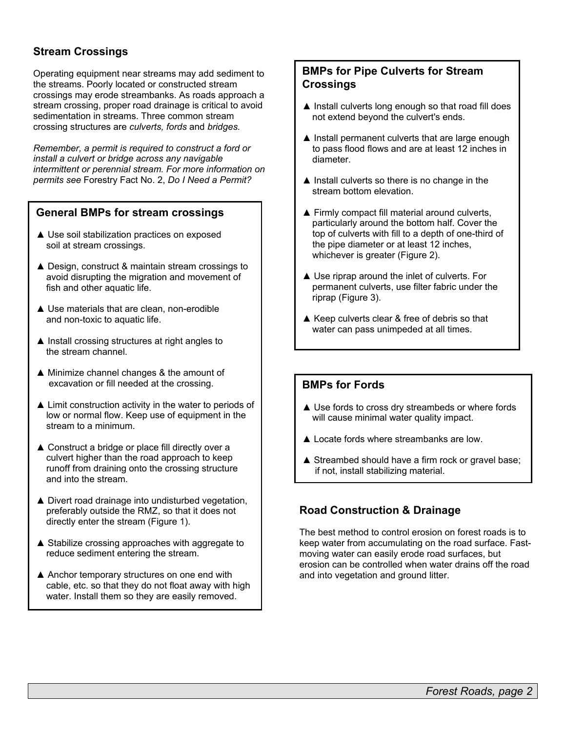## **Stream Crossings**

Operating equipment near streams may add sediment to the streams. Poorly located or constructed stream crossings may erode streambanks. As roads approach a stream crossing, proper road drainage is critical to avoid sedimentation in streams. Three common stream crossing structures are *culverts, fords* and *bridges.* 

*Remember, a permit is required to construct a ford or install a culvert or bridge across any navigable intermittent or perennial stream. For more information on permits see* Forestry Fact No. 2, *Do I Need a Permit?*

#### **General BMPs for stream crossings**

- ▲ Use soil stabilization practices on exposed soil at stream crossings.
- ▲ Design, construct & maintain stream crossings to avoid disrupting the migration and movement of fish and other aquatic life.
- ▲ Use materials that are clean, non-erodible and non-toxic to aquatic life.
- ▲ Install crossing structures at right angles to the stream channel.
- ▲ Minimize channel changes & the amount of excavation or fill needed at the crossing.
- ▲ Limit construction activity in the water to periods of low or normal flow. Keep use of equipment in the stream to a minimum.
- ▲ Construct a bridge or place fill directly over a culvert higher than the road approach to keep runoff from draining onto the crossing structure and into the stream.
- ▲ Divert road drainage into undisturbed vegetation, preferably outside the RMZ, so that it does not directly enter the stream (Figure 1).
- ▲ Stabilize crossing approaches with aggregate to reduce sediment entering the stream.
- ▲ Anchor temporary structures on one end with cable, etc. so that they do not float away with high water. Install them so they are easily removed.

#### **BMPs for Pipe Culverts for Stream Crossings**

- ▲ Install culverts long enough so that road fill does not extend beyond the culvert's ends.
- ▲ Install permanent culverts that are large enough to pass flood flows and are at least 12 inches in diameter.
- ▲ Install culverts so there is no change in the stream bottom elevation.
- ▲ Firmly compact fill material around culverts, particularly around the bottom half. Cover the top of culverts with fill to a depth of one-third of the pipe diameter or at least 12 inches, whichever is greater (Figure 2).
- ▲ Use riprap around the inlet of culverts. For permanent culverts, use filter fabric under the riprap (Figure 3).
- ▲ Keep culverts clear & free of debris so that water can pass unimpeded at all times.

#### **BMPs for Fords**

- ▲ Use fords to cross dry streambeds or where fords will cause minimal water quality impact.
- ▲ Locate fords where streambanks are low.
- ▲ Streambed should have a firm rock or gravel base; if not, install stabilizing material.

## **Road Construction & Drainage**

The best method to control erosion on forest roads is to keep water from accumulating on the road surface. Fastmoving water can easily erode road surfaces, but erosion can be controlled when water drains off the road and into vegetation and ground litter.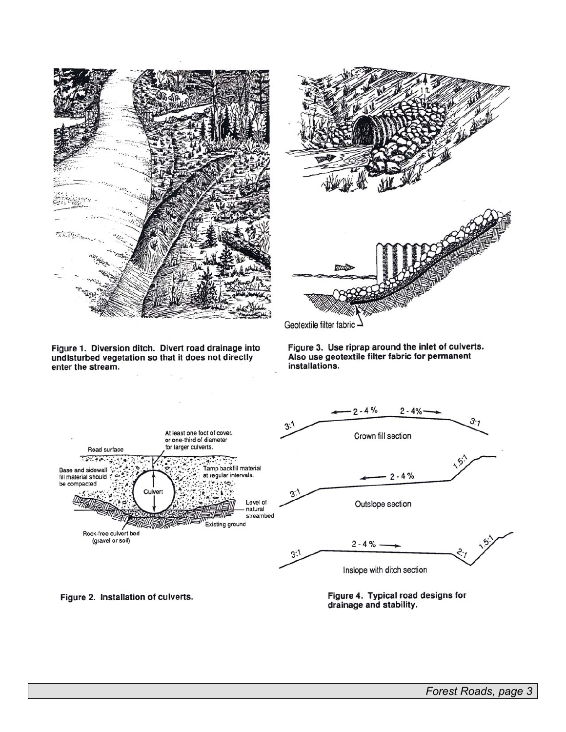



Figure 1. Diversion ditch. Divert road drainage into undisturbed vegetation so that it does not directly

enter the stream.

Figure 3. Use riprap around the inlet of culverts.<br>Also use geotextile filter fabric for permanent installations.



Figure 2. Installation of culverts.

Figure 4. Typical road designs for drainage and stability.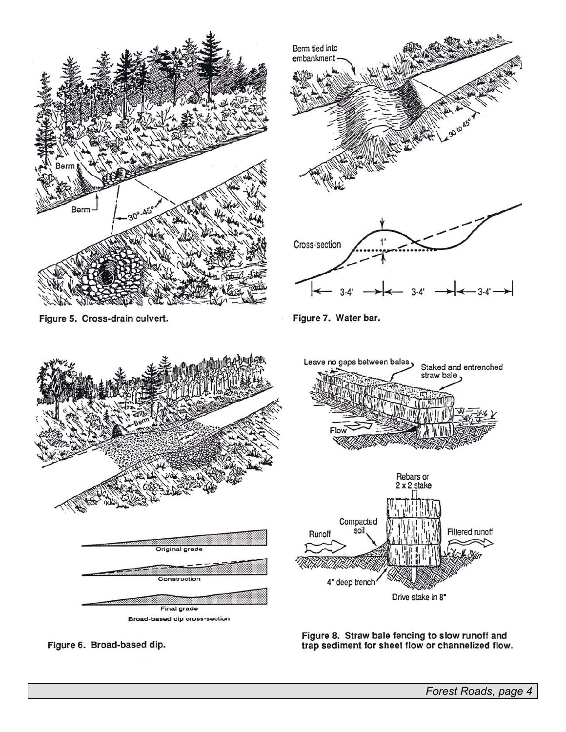

Figure 6. Broad-based dip.

Figure 8. Straw bale fencing to slow runoff and<br>trap sediment for sheet flow or channelized flow.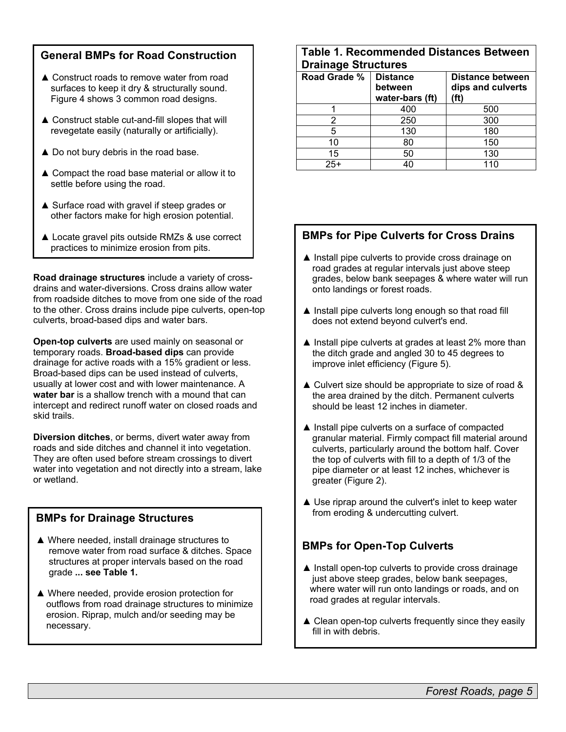### **General BMPs for Road Construction**

- ▲ Construct roads to remove water from road surfaces to keep it dry & structurally sound. Figure 4 shows 3 common road designs.
- ▲ Construct stable cut-and-fill slopes that will revegetate easily (naturally or artificially).
- ▲ Do not bury debris in the road base.
- ▲ Compact the road base material or allow it to settle before using the road.
- ▲ Surface road with gravel if steep grades or other factors make for high erosion potential.
- ▲ Locate gravel pits outside RMZs & use correct practices to minimize erosion from pits.

**Road drainage structures** include a variety of crossdrains and water-diversions. Cross drains allow water from roadside ditches to move from one side of the road to the other. Cross drains include pipe culverts, open-top culverts, broad-based dips and water bars.

**Open-top culverts** are used mainly on seasonal or temporary roads. **Broad-based dips** can provide drainage for active roads with a 15% gradient or less. Broad-based dips can be used instead of culverts, usually at lower cost and with lower maintenance. A **water bar** is a shallow trench with a mound that can intercept and redirect runoff water on closed roads and skid trails.

**Diversion ditches**, or berms, divert water away from roads and side ditches and channel it into vegetation. They are often used before stream crossings to divert water into vegetation and not directly into a stream, lake or wetland.

#### **BMPs for Drainage Structures**

- ▲ Where needed, install drainage structures to remove water from road surface & ditches. Space structures at proper intervals based on the road grade **... see Table 1.**
- ▲ Where needed, provide erosion protection for outflows from road drainage structures to minimize erosion. Riprap, mulch and/or seeding may be necessary.

### **Table 1. Recommended Distances Between Drainage Structures**

| stantago ou aourto |                                               |                                               |
|--------------------|-----------------------------------------------|-----------------------------------------------|
| Road Grade %       | <b>Distance</b><br>between<br>water-bars (ft) | Distance between<br>dips and culverts<br>(ft) |
|                    | 400                                           | 500                                           |
|                    | 250                                           | 300                                           |
|                    | 130                                           | 180                                           |
| 10                 | 80                                            | 150                                           |
| 15                 | 50                                            | 130                                           |
| $25+$              | 40                                            |                                               |

## **BMPs for Pipe Culverts for Cross Drains**

- ▲ Install pipe culverts to provide cross drainage on road grades at regular intervals just above steep grades, below bank seepages & where water will run onto landings or forest roads.
- ▲ Install pipe culverts long enough so that road fill does not extend beyond culvert's end.
- ▲ Install pipe culverts at grades at least 2% more than the ditch grade and angled 30 to 45 degrees to improve inlet efficiency (Figure 5).
- ▲ Culvert size should be appropriate to size of road & the area drained by the ditch. Permanent culverts should be least 12 inches in diameter.
- ▲ Install pipe culverts on a surface of compacted granular material. Firmly compact fill material around culverts, particularly around the bottom half. Cover the top of culverts with fill to a depth of 1/3 of the pipe diameter or at least 12 inches, whichever is greater (Figure 2).
- ▲ Use riprap around the culvert's inlet to keep water from eroding & undercutting culvert.

## **BMPs for Open-Top Culverts**

- ▲ Install open-top culverts to provide cross drainage just above steep grades, below bank seepages, where water will run onto landings or roads, and on road grades at regular intervals.
- ▲ Clean open-top culverts frequently since they easily fill in with debris.